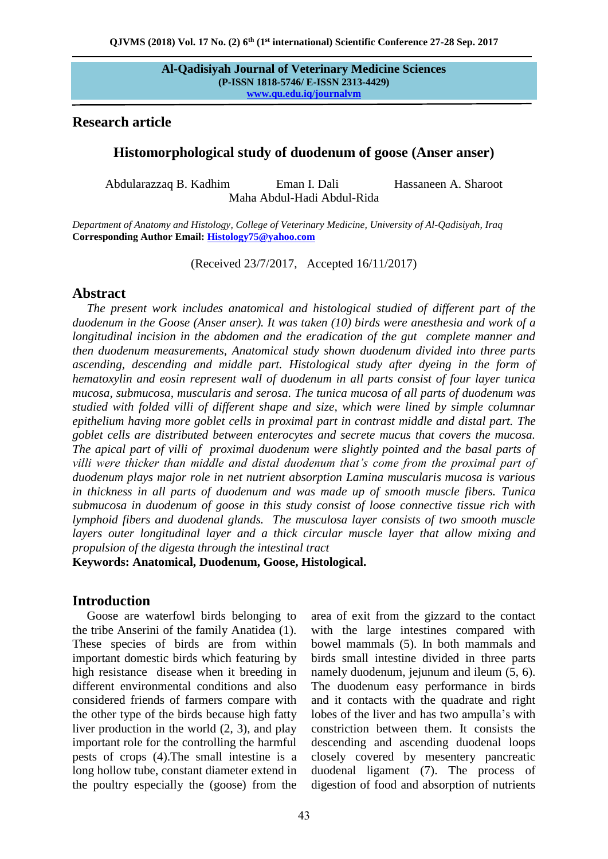## **Research article**

## **Histomorphological study of duodenum of goose (Anser anser)**

Abdularazzaq B. Kadhim Eman I. Dali Hassaneen A. Sharoot Maha Abdul-Hadi Abdul-Rida

*Department of Anatomy and Histology, College of Veterinary Medicine, University of Al-Qadisiyah, Iraq* **Corresponding Author Email: [Histology75@yahoo.com](mailto:Histology75@yahoo.com)**

(Received 23/7/2017, Accepted 16/11/2017)

### **Abstract**

*The present work includes anatomical and histological studied of different part of the duodenum in the Goose (Anser anser). It was taken (10) birds were anesthesia and work of a longitudinal incision in the abdomen and the eradication of the gut complete manner and then duodenum measurements, Anatomical study shown duodenum divided into three parts ascending, descending and middle part. Histological study after dyeing in the form of hematoxylin and eosin represent wall of duodenum in all parts consist of four layer tunica mucosa, submucosa, muscularis and serosa. The tunica mucosa of all parts of duodenum was studied with folded villi of different shape and size, which were lined by simple columnar epithelium having more goblet cells in proximal part in contrast middle and distal part. The goblet cells are distributed between enterocytes and secrete mucus that covers the mucosa. The apical part of villi of proximal duodenum were slightly pointed and the basal parts of villi were thicker than middle and distal duodenum that's come from the proximal part of duodenum plays major role in net nutrient absorption Lamina muscularis mucosa is various in thickness in all parts of duodenum and was made up of smooth muscle fibers. Tunica submucosa in duodenum of goose in this study consist of loose connective tissue rich with lymphoid fibers and duodenal glands. The musculosa layer consists of two smooth muscle layers outer longitudinal layer and a thick circular muscle layer that allow mixing and propulsion of the digesta through the intestinal tract* 

**Keywords: Anatomical, Duodenum, Goose, Histological.** 

## **Introduction**

Goose are waterfowl birds belonging to the tribe Anserini of the family Anatidea (1). These species of birds are from within important domestic birds which featuring by high resistance disease when it breeding in different environmental conditions and also considered friends of farmers compare with the other type of the birds because high fatty liver production in the world (2, 3), and play important role for the controlling the harmful pests of crops (4).The small intestine is a long hollow tube, constant diameter extend in the poultry especially the (goose) from the

area of exit from the gizzard to the contact with the large intestines compared with bowel mammals (5). In both mammals and birds small intestine divided in three parts namely duodenum, jejunum and ileum  $(5, 6)$ . The duodenum easy performance in birds and it contacts with the quadrate and right lobes of the liver and has two ampulla's with constriction between them. It consists the descending and ascending duodenal loops closely covered by mesentery pancreatic duodenal ligament (7). The process of digestion of food and absorption of nutrients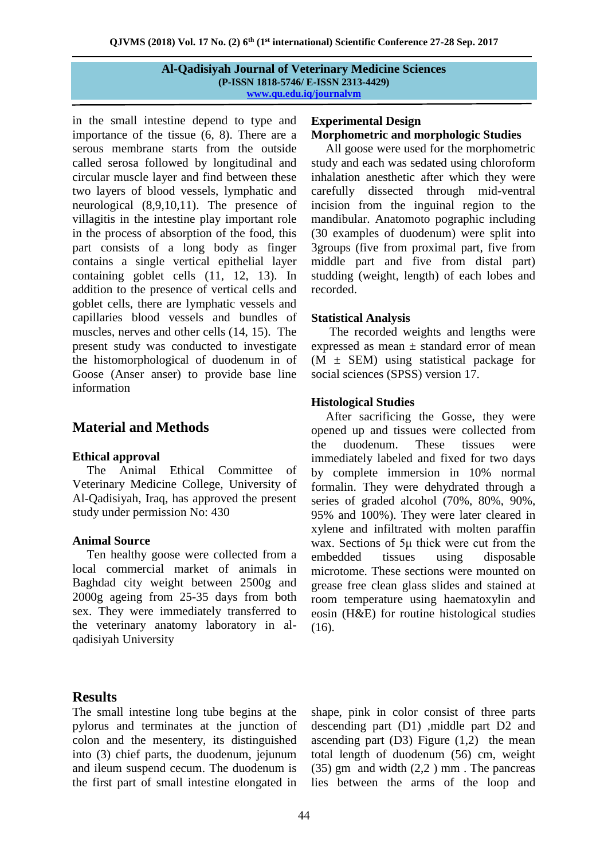in the small intestine depend to type and importance of the tissue (6, 8). There are a serous membrane starts from the outside called serosa followed by longitudinal and circular muscle layer and find between these two layers of blood vessels, lymphatic and neurological (8,9,10,11). The presence of villagitis in the intestine play important role in the process of absorption of the food, this part consists of a long body as finger contains a single vertical epithelial layer containing goblet cells (11, 12, 13). In addition to the presence of vertical cells and goblet cells, there are lymphatic vessels and capillaries blood vessels and bundles of muscles, nerves and other cells (14, 15). The present study was conducted to investigate the histomorphological of duodenum in of Goose (Anser anser) to provide base line information

# **Material and Methods**

## **Ethical approval**

The Animal Ethical Committee of Veterinary Medicine College, University of Al-Qadisiyah, Iraq, has approved the present study under permission No: 430

## **Animal Source**

Ten healthy goose were collected from a local commercial market of animals in Baghdad city weight between 2500g and 2000g ageing from 25-35 days from both sex. They were immediately transferred to the veterinary anatomy laboratory in alqadisiyah University

## **Experimental Design Morphometric and morphologic Studies**

All goose were used for the morphometric study and each was sedated using chloroform inhalation anesthetic after which they were carefully dissected through mid-ventral incision from the inguinal region to the mandibular. Anatomoto pographic including (30 examples of duodenum) were split into 3groups (five from proximal part, five from middle part and five from distal part) studding (weight, length) of each lobes and recorded.

## **Statistical Analysis**

 The recorded weights and lengths were expressed as mean  $\pm$  standard error of mean  $(M \pm SEM)$  using statistical package for social sciences (SPSS) version 17.

## **Histological Studies**

After sacrificing the Gosse, they were opened up and tissues were collected from the duodenum. These tissues were immediately labeled and fixed for two days by complete immersion in 10% normal formalin. They were dehydrated through a series of graded alcohol (70%, 80%, 90%, 95% and 100%). They were later cleared in xylene and infiltrated with molten paraffin wax. Sections of 5μ thick were cut from the embedded tissues using disposable microtome. These sections were mounted on grease free clean glass slides and stained at room temperature using haematoxylin and eosin (H&E) for routine histological studies (16).

# **Results**

The small intestine long tube begins at the pylorus and terminates at the junction of colon and the mesentery, its distinguished into (3) chief parts, the duodenum, jejunum and ileum suspend cecum. The duodenum is the first part of small intestine elongated in

shape, pink in color consist of three parts descending part (D1) ,middle part D2 and ascending part  $(D3)$  Figure  $(1,2)$  the mean total length of duodenum (56) cm, weight  $(35)$  gm and width  $(2,2)$  mm. The pancreas lies between the arms of the loop and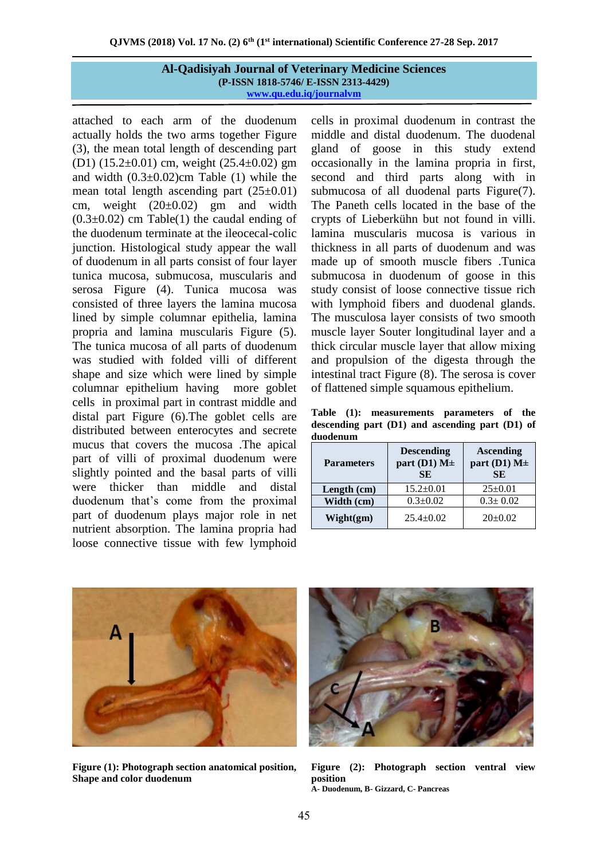attached to each arm of the duodenum actually holds the two arms together Figure (3), the mean total length of descending part (D1) (15.2 $\pm$ 0.01) cm, weight (25.4 $\pm$ 0.02) gm and width  $(0.3\pm0.02)$ cm Table (1) while the mean total length ascending part  $(25\pm0.01)$ cm, weight  $(20\pm0.02)$  gm and width  $(0.3\pm0.02)$  cm Table(1) the caudal ending of the duodenum terminate at the ileocecal-colic junction. Histological study appear the wall of duodenum in all parts consist of four layer tunica mucosa, submucosa, muscularis and serosa Figure (4). Tunica mucosa was consisted of three layers the lamina mucosa lined by simple columnar epithelia, lamina propria and lamina muscularis Figure (5). The tunica mucosa of all parts of duodenum was studied with folded villi of different shape and size which were lined by simple columnar epithelium having more goblet cells in proximal part in contrast middle and distal part Figure (6).The goblet cells are distributed between enterocytes and secrete mucus that covers the mucosa .The apical part of villi of proximal duodenum were slightly pointed and the basal parts of villi were thicker than middle and distal duodenum that's come from the proximal part of duodenum plays major role in net nutrient absorption. The lamina propria had loose connective tissue with few lymphoid cells in proximal duodenum in contrast the middle and distal duodenum. The duodenal gland of goose in this study extend occasionally in the lamina propria in first, second and third parts along with in submucosa of all duodenal parts Figure(7). The Paneth cells located in the base of the crypts of Lieberkühn but not found in villi. lamina muscularis mucosa is various in thickness in all parts of duodenum and was made up of smooth muscle fibers .Tunica submucosa in duodenum of goose in this study consist of loose connective tissue rich with lymphoid fibers and duodenal glands. The musculosa layer consists of two smooth muscle layer Souter longitudinal layer and a thick circular muscle layer that allow mixing and propulsion of the digesta through the intestinal tract Figure (8). The serosa is cover of flattened simple squamous epithelium.

**Table (1): measurements parameters of the descending part (D1) and ascending part (D1) of duodenum**

| <b>Parameters</b> | <b>Descending</b><br>part (D1) $M\pm$<br><b>SE</b> | <b>Ascending</b><br>part (D1) $M\pm$<br><b>SE</b> |
|-------------------|----------------------------------------------------|---------------------------------------------------|
| Length (cm)       | $15.2 \pm 0.01$                                    | $25 \pm 0.01$                                     |
| Width (cm)        | $0.3 \pm 0.02$                                     | $0.3 \pm 0.02$                                    |
| Wight(gm)         | $25.4 \pm 0.02$                                    | $20 \pm 0.02$                                     |



**Figure (1): Photograph section anatomical position, Shape and color duodenum**



**Figure (2): Photograph section ventral view position A- Duodenum, B- Gizzard, C- Pancreas**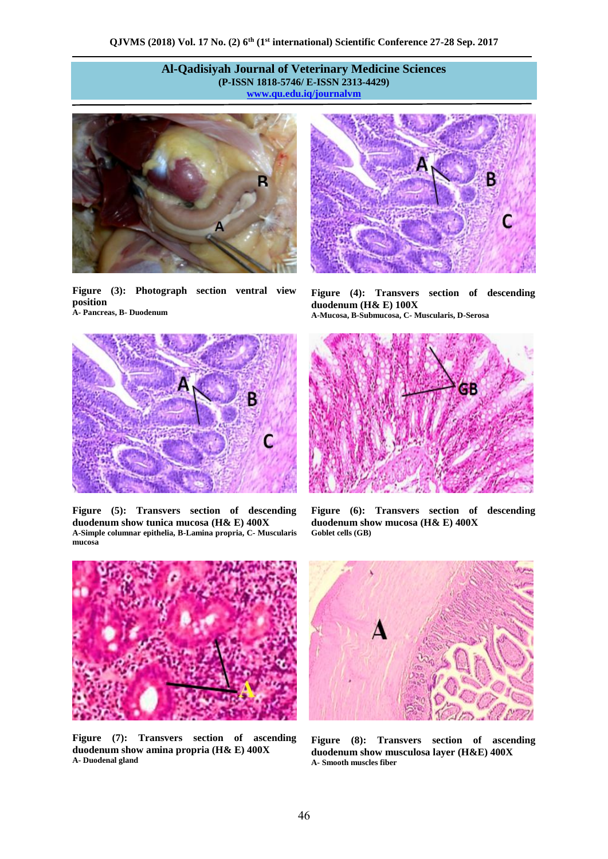



**Figure (3): Photograph section ventral view position A- Pancreas, B- Duodenum**



**Figure (5): Transvers section of descending duodenum show tunica mucosa (H& E) 400X A-Simple columnar epithelia, B-Lamina propria, C- Muscularis mucosa**



**Figure (4): Transvers section of descending duodenum (H& E) 100X A-Mucosa, B-Submucosa, C- Muscularis, D-Serosa**



**Figure (6): Transvers section of descending duodenum show mucosa (H& E) 400X Goblet cells (GB)**



**Figure (7): Transvers section of ascending duodenum show amina propria (H& E) 400X A- Duodenal gland**



**Figure (8): Transvers section of ascending duodenum show musculosa layer (H&E) 400X A- Smooth muscles fiber**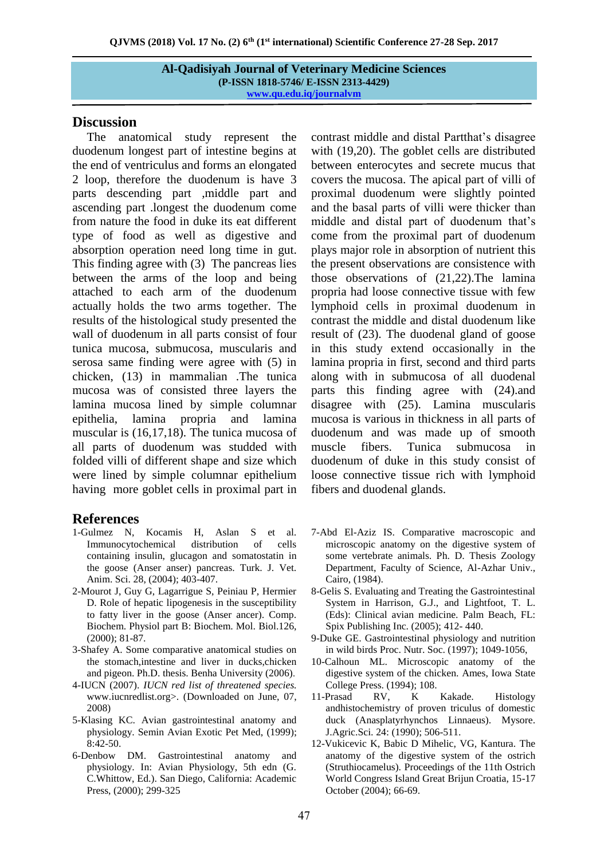## **Discussion**

The anatomical study represent the duodenum longest part of intestine begins at the end of ventriculus and forms an elongated 2 loop, therefore the duodenum is have 3 parts descending part ,middle part and ascending part .longest the duodenum come from nature the food in duke its eat different type of food as well as digestive and absorption operation need long time in gut. This finding agree with (3) The pancreas lies between the arms of the loop and being attached to each arm of the duodenum actually holds the two arms together. The results of the histological study presented the wall of duodenum in all parts consist of four tunica mucosa, submucosa, muscularis and serosa same finding were agree with (5) in chicken, (13) in mammalian .The tunica mucosa was of consisted three layers the lamina mucosa lined by simple columnar epithelia, lamina propria and lamina muscular is (16,17,18). The tunica mucosa of all parts of duodenum was studded with folded villi of different shape and size which were lined by simple columnar epithelium having more goblet cells in proximal part in

## **References**

- 1-Gulmez N, Kocamis H, Aslan S et al. Immunocytochemical distribution of cells containing insulin, glucagon and somatostatin in the goose (Anser anser) pancreas. Turk. J. Vet. Anim. Sci. 28, (2004); 403-407.
- 2-Mourot J, Guy G, Lagarrigue S, Peiniau P, Hermier D. Role of hepatic lipogenesis in the susceptibility to fatty liver in the goose (Anser ancer). Comp. Biochem. Physiol part B: Biochem. Mol. Biol.126, (2000); 81-87.
- 3-Shafey A. Some comparative anatomical studies on the stomach,intestine and liver in ducks,chicken and pigeon. Ph.D. thesis. Benha University (2006).
- 4-IUCN (2007). *IUCN red list of threatened species.* www.iucnredlist.org>. (Downloaded on June, 07, 2008)
- 5-Klasing KC. Avian gastrointestinal anatomy and physiology. Semin Avian Exotic Pet Med, (1999); 8:42-50.
- 6-Denbow DM. Gastrointestinal anatomy and physiology. In: Avian Physiology, 5th edn (G. C.Whittow, Ed.). San Diego, California: Academic Press, (2000); 299-325

contrast middle and distal Partthat's disagree with (19,20). The goblet cells are distributed between enterocytes and secrete mucus that covers the mucosa. The apical part of villi of proximal duodenum were slightly pointed and the basal parts of villi were thicker than middle and distal part of duodenum that's come from the proximal part of duodenum plays major role in absorption of nutrient this the present observations are consistence with those observations of (21,22).The lamina propria had loose connective tissue with few lymphoid cells in proximal duodenum in contrast the middle and distal duodenum like result of (23). The duodenal gland of goose in this study extend occasionally in the lamina propria in first, second and third parts along with in submucosa of all duodenal parts this finding agree with (24).and disagree with (25). Lamina muscularis mucosa is various in thickness in all parts of duodenum and was made up of smooth muscle fibers. Tunica submucosa in duodenum of duke in this study consist of loose connective tissue rich with lymphoid fibers and duodenal glands.

- 7-Abd El-Aziz IS. Comparative macroscopic and microscopic anatomy on the digestive system of some vertebrate animals. Ph. D. Thesis Zoology Department, Faculty of Science, Al-Azhar Univ., Cairo, (1984).
- 8-Gelis S. Evaluating and Treating the Gastrointestinal System in Harrison, G.J., and Lightfoot, T. L. (Eds): Clinical avian medicine. Palm Beach, FL: Spix Publishing Inc. (2005); 412- 440.
- 9-Duke GE. Gastrointestinal physiology and nutrition in wild birds Proc. Nutr. Soc. (1997); 1049-1056,
- 10-Calhoun ML. Microscopic anatomy of the digestive system of the chicken. Ames, Iowa State College Press. (1994); 108.
- 11-Prasad RV, K Kakade. Histology andhistochemistry of proven triculus of domestic duck (Anasplatyrhynchos Linnaeus). Mysore. J.Agric.Sci. 24: (1990); 506-511.
- 12-Vukicevic K, Babic D Mihelic, VG, Kantura. The anatomy of the digestive system of the ostrich (Struthiocamelus). Proceedings of the 11th Ostrich World Congress Island Great Brijun Croatia, 15-17 October (2004); 66-69.